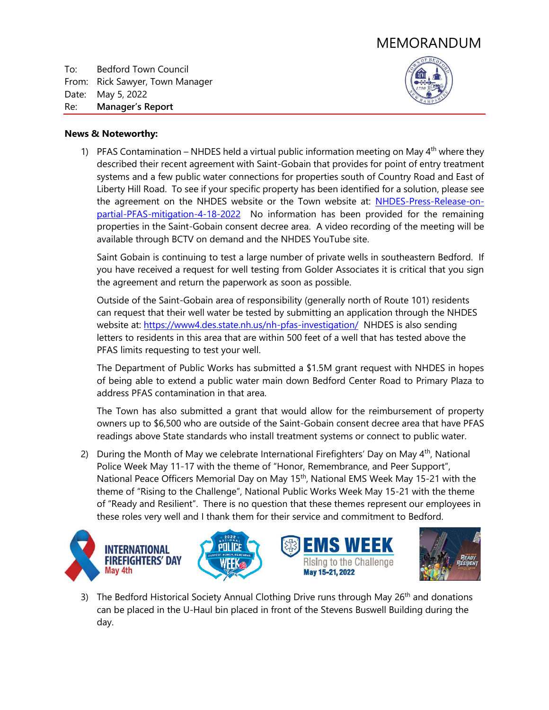# MEMORANDUM

To: Bedford Town Council From: Rick Sawyer, Town Manager Date: May 5, 2022 Re: **Manager's Report**



## **News & Noteworthy:**

1) PFAS Contamination – NHDES held a virtual public information meeting on May  $4<sup>th</sup>$  where they described their recent agreement with Saint-Gobain that provides for point of entry treatment systems and a few public water connections for properties south of Country Road and East of Liberty Hill Road. To see if your specific property has been identified for a solution, please see the agreement on the NHDES website or the Town website at: [NHDES-Press-Release-on](https://www.bedfordnh.org/DocumentCenter/View/5780/NHDES-Press-Release-on-partial-PFAS-mitigation-4-18-2022)[partial-PFAS-mitigation-4-18-2022](https://www.bedfordnh.org/DocumentCenter/View/5780/NHDES-Press-Release-on-partial-PFAS-mitigation-4-18-2022) No information has been provided for the remaining properties in the Saint-Gobain consent decree area. A video recording of the meeting will be available through BCTV on demand and the NHDES YouTube site.

Saint Gobain is continuing to test a large number of private wells in southeastern Bedford. If you have received a request for well testing from Golder Associates it is critical that you sign the agreement and return the paperwork as soon as possible.

Outside of the Saint-Gobain area of responsibility (generally north of Route 101) residents can request that their well water be tested by submitting an application through the NHDES website at: [https://www4.des.state.nh.us/nh-pfas-investigation/](https://www4.des.state.nh.us/nh-pfas-investigation/?page_id=307) NHDES is also sending letters to residents in this area that are within 500 feet of a well that has tested above the PFAS limits requesting to test your well.

The Department of Public Works has submitted a \$1.5M grant request with NHDES in hopes of being able to extend a public water main down Bedford Center Road to Primary Plaza to address PFAS contamination in that area.

The Town has also submitted a grant that would allow for the reimbursement of property owners up to \$6,500 who are outside of the Saint-Gobain consent decree area that have PFAS readings above State standards who install treatment systems or connect to public water.

2) During the Month of May we celebrate International Firefighters' Day on May  $4<sup>th</sup>$ , National Police Week May 11-17 with the theme of "Honor, Remembrance, and Peer Support", National Peace Officers Memorial Day on May 15th, National EMS Week May 15-21 with the theme of "Rising to the Challenge", National Public Works Week May 15-21 with the theme of "Ready and Resilient". There is no question that these themes represent our employees in these roles very well and I thank them for their service and commitment to Bedford.



3) The Bedford Historical Society Annual Clothing Drive runs through May  $26<sup>th</sup>$  and donations can be placed in the U-Haul bin placed in front of the Stevens Buswell Building during the day.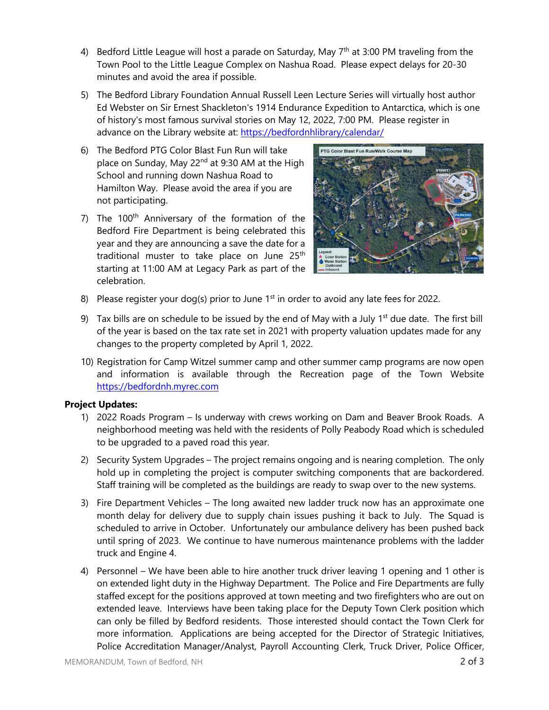- 4) Bedford Little League will host a parade on Saturday, May 7<sup>th</sup> at 3:00 PM traveling from the Town Pool to the Little League Complex on Nashua Road. Please expect delays for 20-30 minutes and avoid the area if possible.
- 5) The Bedford Library Foundation Annual Russell Leen Lecture Series will virtually host author Ed Webster on Sir Ernest Shackleton's 1914 Endurance Expedition to Antarctica, which is one of history's most famous survival stories on May 12, 2022, 7:00 PM. Please register in advance on the Library website at: [https://bedfordnhlibrary/calendar/](HDC%20Chair%20Recommendation-Kelly%20Tope.pdf)
- 6) The Bedford PTG Color Blast Fun Run will take place on Sunday, May 22<sup>nd</sup> at 9:30 AM at the High School and running down Nashua Road to Hamilton Way. Please avoid the area if you are not participating.
- 7) The 100<sup>th</sup> Anniversary of the formation of the Bedford Fire Department is being celebrated this year and they are announcing a save the date for a traditional muster to take place on June 25<sup>th</sup> starting at 11:00 AM at Legacy Park as part of the celebration.



- 8) Please register your dog(s) prior to June  $1<sup>st</sup>$  in order to avoid any late fees for 2022.
- 9) Tax bills are on schedule to be issued by the end of May with a July  $1<sup>st</sup>$  due date. The first bill of the year is based on the tax rate set in 2021 with property valuation updates made for any changes to the property completed by April 1, 2022.
- 10) Registration for Camp Witzel summer camp and other summer camp programs are now open and information is available through the Recreation page of the Town Website [https://bedfordnh.myrec.com](https://bedfordnh.myrec.com/info/activities/default.aspx?type=activities)

# **Project Updates:**

- 1) 2022 Roads Program Is underway with crews working on Dam and Beaver Brook Roads. A neighborhood meeting was held with the residents of Polly Peabody Road which is scheduled to be upgraded to a paved road this year.
- 2) Security System Upgrades The project remains ongoing and is nearing completion. The only hold up in completing the project is computer switching components that are backordered. Staff training will be completed as the buildings are ready to swap over to the new systems.
- 3) Fire Department Vehicles The long awaited new ladder truck now has an approximate one month delay for delivery due to supply chain issues pushing it back to July. The Squad is scheduled to arrive in October. Unfortunately our ambulance delivery has been pushed back until spring of 2023. We continue to have numerous maintenance problems with the ladder truck and Engine 4.
- 4) Personnel We have been able to hire another truck driver leaving 1 opening and 1 other is on extended light duty in the Highway Department. The Police and Fire Departments are fully staffed except for the positions approved at town meeting and two firefighters who are out on extended leave. Interviews have been taking place for the Deputy Town Clerk position which can only be filled by Bedford residents. Those interested should contact the Town Clerk for more information. Applications are being accepted for the Director of Strategic Initiatives, Police Accreditation Manager/Analyst, Payroll Accounting Clerk, Truck Driver, Police Officer,